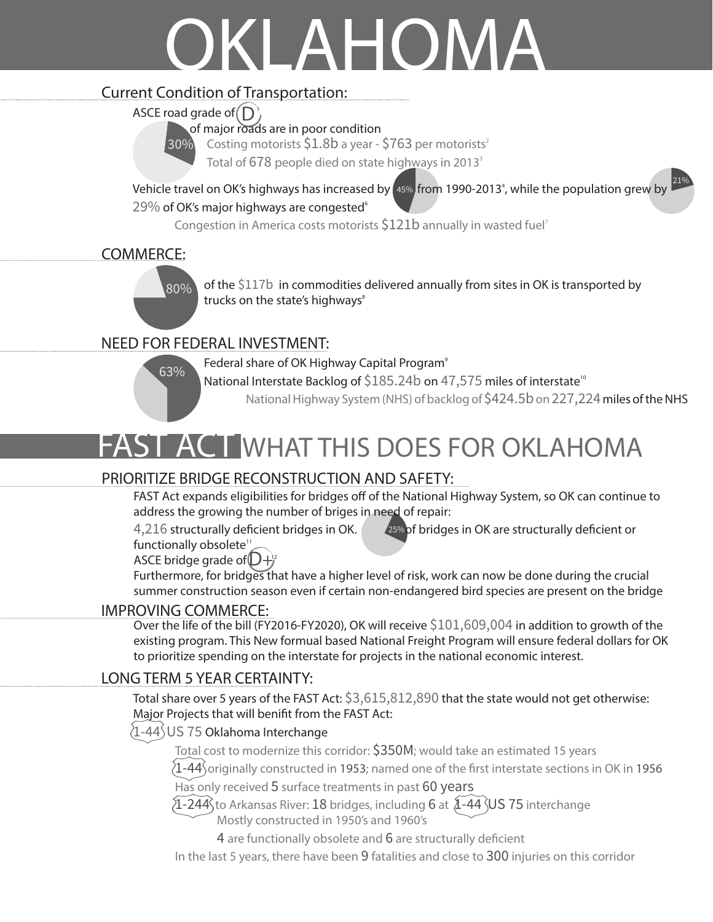# OKLAHOMA

### Current Condition of Transportation:

ASCE road grade of  $\left(\mathsf{D}\right)$ 

 $30\%$ 

of major roads are in poor condition

Costing motorists  $$1.8b$  a year -  $$763$  per motorists<sup>2</sup>

Total of 678 people died on state highways in 2013<sup>3</sup>

5 Vehicle travel on OK's highways has increased by  $\sqrt[45\%]{}$  from 1990-2013<sup>4</sup>, while the population grew by  $\frac{21\%}{21\%}$  $29\%$  of OK's major highways are congested $^{\circ}$ 

Congestion in America costs motorists \$121b annually in wasted fuel<sup>7</sup>

### COMMERCE:



of the \$117b in commodities delivered annually from sites in OK is transported by trucks on the state's highways<sup>8</sup>

## NEED FOR FEDERAL INVESTMENT:



Federal share of OK Highway Capital Program<sup>9</sup>

National Interstate Backlog of \$185.24b on 47,575 miles of interstate<sup>10</sup>

National Highway System (NHS) of backlog of \$424.5b on 227,224 miles of the NHS

# FAST ACT WHAT THIS DOES FOR OKLAHOMA

### PRIORITIZE BRIDGE RECONSTRUCTION AND SAFETY:

FAST Act expands eligibilities for bridges off of the National Highway System, so OK can continue to address the growing the number of briges in need of repair:

4,216 structurally deficient bridges in OK. 25% of bridges in OK are structurally deficient or

ASCE bridge grade of  $D+2$ functionally obsolete<sup>11</sup>

Furthermore, for bridges that have a higher level of risk, work can now be done during the crucial summer construction season even if certain non-endangered bird species are present on the bridge

#### IMPROVING COMMERCE:

Over the life of the bill (FY2016-FY2020), OK will receive \$101,609,004 in addition to growth of the existing program. This New formual based National Freight Program will ensure federal dollars for OK to prioritize spending on the interstate for projects in the national economic interest.

### LONG TERM 5 YEAR CERTAINTY:

Total share over 5 years of the FAST Act: \$3,615,812,890 that the state would not get otherwise: Major Projects that will benifit from the FAST Act:

### 1-44 US 75 Oklahoma Interchange

Total cost to modernize this corridor: \$350M; would take an estimated 15 years

 $\{1\text{-}44\}$  originally constructed in 1953; named one of the first interstate sections in OK in 1956

Has only received 5 surface treatments in past 60 years

 $[1$ -244 $]$ to Arkansas River: 18 bridges, including 6 at  $[1 - 44]$ US 75 interchange Mostly constructed in 1950's and 1960's

4 are functionally obsolete and 6 are structurally deficient

In the last 5 years, there have been 9 fatalities and close to 300 injuries on this corridor